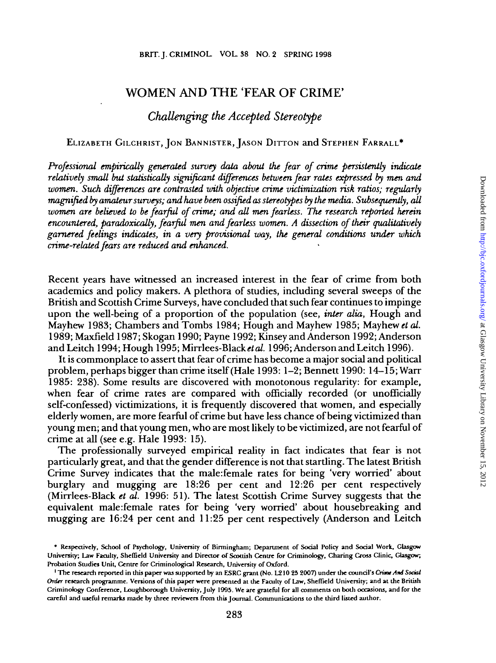# WOMEN AND THE 'FEAR OF CRIME'

## *Challenging the Accepted Stereotype*

## ELIZABETH GILCHRIST, JON BANNISTER, JASON DITTON and STEPHEN FARRALL\*

*Professional empirically generated survey data about the fear of crime persistently indicate relatively small but statistically significant differences between fear rates expressed by men and women. Such differences are contrasted with objective crime victimization risk ratios; regularly magnified by amateur surveys; and have been ossified as stereotypes by the media. Subsequently, all women are believed to be fearful of crime; and all men fearless. The research reported herein encountered, paradoxically, fearful men and fearless women. A dissection of their qualitatively garnered feelings indicates, in a very provisional way, the general conditions under which crime-related fears are reduced and enhanced.*

Recent years have witnessed an increased interest in the fear of crime from both academics and policy makers. A plethora of studies, including several sweeps of the British and Scottish Crime Surveys, have concluded that such fear continues to impinge upon the well-being of a proportion of the population (see, *inter alia,* Hough and Mayhew 1983; Chambers and Tombs 1984; Hough and Mayhew 1985; Mayhew ef *al.* 1989; Maxfield 1987; Skogan 1990; Payne 1992; Kinsey and Anderson 1992; Anderson and Leitch 1994; Hough 1995; Mirrlees-Black *et al.* 1996; Anderson and Leitch 1996).

It is commonplace to assert that fear of crime has become a major social and political problem, perhaps bigger than crime itself (Hale 1993: 1-2; Bennett 1990: 14-15; Warr 1985: 238). Some results are discovered with monotonous regularity: for example, when fear of crime rates are compared with officially recorded (or unofficially self-confessed) victimizations, it is frequently discovered that women, and especially elderly women, are more fearful of crime but have less chance of being victimized than young men; and that young men, who are most likely to be victimized, are not fearful of crime at all (see e.g. Hale 1993: 15).

The professionally surveyed empirical reality in fact indicates that fear is not particularly great, and that the gender difference is not that startling. The latest British Crime Survey indicates that the male:female rates for being 'very worried' about burglary and mugging are 18:26 per cent and 12:26 per cent respectively (Mirrlees-Black et al. 1996: 51). The latest Scottish Crime Survey suggests that the equivalent male:female rates for being 'very worried' about housebreaking and mugging are 16:24 per cent and 11:25 per cent respectively (Anderson and Leitch

**<sup>•</sup> Respectively, School of Psychology, University of Birmingham; Department of Social Policy and Social Work, Glasgow University; Law Faculty, Sheffield University and Director of Scottish Centre for Criminology, Charing Cross Clinic, Glasgow,** Probation Studies Unit, Centre for Criminological Research, University of Oxford.

<sup>&</sup>lt;sup>1</sup> The research reported in this paper was supported by an ESRC grant (No. L210 25 2007) under the council's Crime And Social *Order* **research programme. Versions of this paper were presented at the Faculty of Law, Sheffield University; and at the British Criminology Conference, Loughborough University, July 1995. We are grateful for all comments on both occasions, and for the careful and useful remarks made by three reviewers from this Journal. Communications to the third listed author.**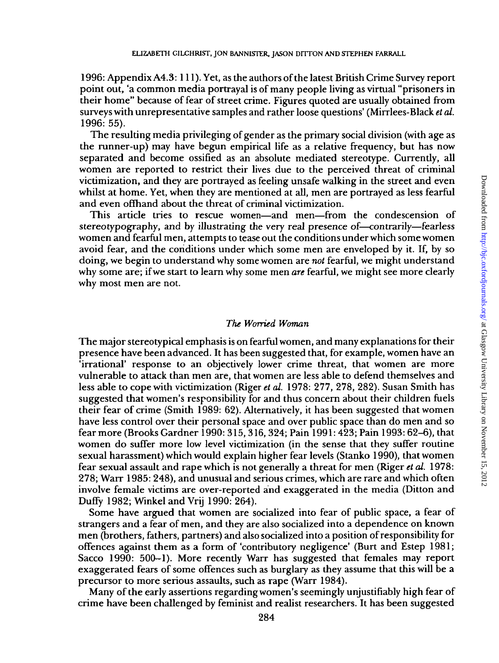1996: Appendix A4.3: 111). Yet, as the authors of the latest British Crime Survey report point out, 'a common media portrayal is of many people living as virtual "prisoners in their home" because of fear of street crime. Figures quoted are usually obtained from surveys with unrepresentative samples and rather loose questions' (Mirrlees-Black *et al.* 1996: 55).

The resulting media privileging of gender as the primary social division (with age as the runner-up) may have begun empirical life as a relative frequency, but has now separated and become ossified as an absolute mediated stereotype. Currently, all women are reported to restrict their lives due to the perceived threat of criminal victimization, and they are portrayed as feeling unsafe walking in the street and even whilst at home. Yet, when they are mentioned at all, men are portrayed as less fearful and even offhand about the threat of criminal victimization.

This article tries to rescue women—and men—from the condescension of stereotypography, and by illustrating the very real presence of—contrarily—fearless women and fearful men, attempts to tease out the conditions under which some women avoid fear, and the conditions under which some men are enveloped by it. If, by so doing, we begin to understand why some women are *not* fearful, we might understand why some are; if we start to learn why some men *are* fearful, we might see more dearly why most men are not.

## *The Worried Woman*

The major stereotypical emphasis is on fearful women, and many explanations for their presence have been advanced. It has been suggested that, for example, women have an 'irrational' response to an objectively lower crime threat, that women are more vulnerable to attack than men are, that women are less able to defend themselves and less able to cope with victimization (Riger *et al.* 1978: 277, 278, 282). Susan Smith has suggested that women's responsibility for and thus concern about their children fuels their fear of crime (Smith 1989: 62). Alternatively, it has been suggested that women have less control over their personal space and over public space than do men and so fear more (Brooks Gardner 1990: 315, 316, 324; Pain 1991: 423; Pain 1993: 62-6), that women do suffer more low level victimization (in the sense that they suffer routine sexual harassment) which would explain higher fear levels (Stanko 1990), that women fear sexual assault and rape which is not generally a threat for men (Riger *et al.* 1978: 278; Warr 1985: 248), and unusual and serious crimes, which are rare and which often involve female victims are over-reported and exaggerated in the media (Ditton and Duffy 1982; Winkel and Vrij 1990: 264).

Some have argued that women are socialized into fear of public space, a fear of strangers and a fear of men, and they are also socialized into a dependence on known men (brothers, fathers, partners) and also socialized into a position of responsibility for offences against them as a form of 'contributory negligence' (Burt and Estep 1981; Sacco 1990: 500-1). More recently Warr has suggested that females may report exaggerated fears of some offences such as burglary as they assume that this will be a precursor to more serious assaults, such as rape (Warr 1984).

Many of the early assertions regarding women's seemingly unjustifiably high fear of crime have been challenged by feminist and realist researchers. It has been suggested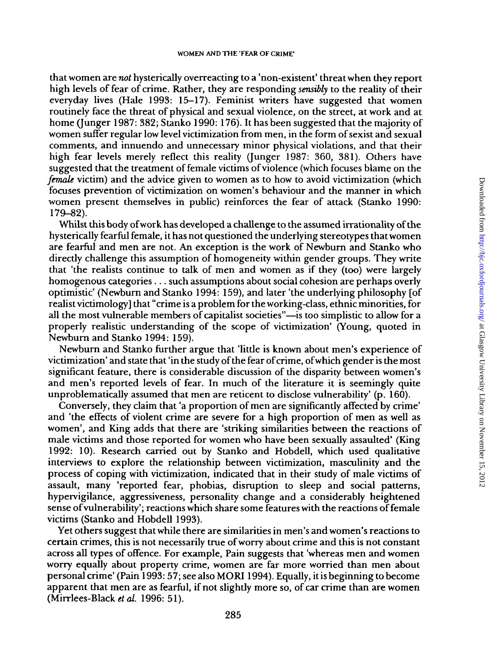that women are *not* hysterically overreacting to a 'non-existent' threat when they report high levels of fear of crime. Rather, they are responding *sensibly* to the reality of their everyday lives (Hale 1993: 15-17). Feminist writers have suggested that women routinely face the threat of physical and sexual violence, on the street, at work and at home (Junger 1987: 382; Stanko 1990: 176). It has been suggested that the majority of women suffer regular low level victimization from men, in the form of sexist and sexual comments, and innuendo and unnecessary minor physical violations, and that their high fear levels merely reflect this reality (Junger 1987: 360, 381). Others have suggested that the treatment of female victims of violence (which focuses blame on the *female* victim) and the advice given to women as to how to avoid victimization (which focuses prevention of victimization on women's behaviour and the manner in which women present themselves in public) reinforces the fear of attack (Stanko 1990: 179-82).

Whilst this body of work has developed a challenge to the assumed irrationality of the hysterically fearful female, it has not questioned the underlying stereotypes that women are fearful and men are not. An exception is the work of Newburn and Stanko who directly challenge this assumption of homogeneity within gender groups. They write that 'the realists continue to talk of men and women as if they (too) were largely homogenous categories .. . such assumptions about social cohesion are perhaps overly optimistic' (Newburn and Stanko 1994: 159), and later 'the underlying philosophy [of realist victimology] that "crime is a problem for the working-class, ethnic minorities, for all the most vulnerable members of capitalist societies"—is too simplistic to allow for a properly realistic understanding of the scope of victimization' (Young, quoted in Newburn and Stanko 1994: 159).

Newburn and Stanko further argue that 'little is known about men's experience of victimization' and state that 'in the study of the fear of crime, of which gender is the most significant feature, there is considerable discussion of the disparity between women's and men's reported levels of fear. In much of the literature it is seemingly quite unproblematically assumed that men are reticent to disclose vulnerability' (p. 160).

Conversely, they claim that 'a proportion of men are significantly affected by crime' and 'the effects of violent crime are severe for a high proportion of men as well as women', and King adds that there are 'striking similarities between the reactions of male victims and those reported for women who have been sexually assaulted' (King 1992: 10). Research carried out by Stanko and Hobdell, which used qualitative interviews to explore the relationship between victimization, masculinity and the process of coping with victimization, indicated that in their study of male victims of assault, many 'reported fear, phobias, disruption to sleep and social patterns, hypervigilance, aggressiveness, personality change and a considerably heightened sense of vulnerability'; reactions which share some features with the reactions of female victims (Stanko and Hobdell 1993).

Yet others suggest that while there are similarities in men's and women's reactions to certain crimes, this is not necessarily true of worry about crime and this is not constant across all types of offence. For example, Pain suggests that 'whereas men and women worry equally about property crime, women are far more worried than men about personal crime' (Pain 1993: 57; see also MORI 1994). Equally, it is beginning to become apparent that men are as fearful, if not slightly more so, of car crime than are women (Mirrlees-Black *et al.* 1996:51).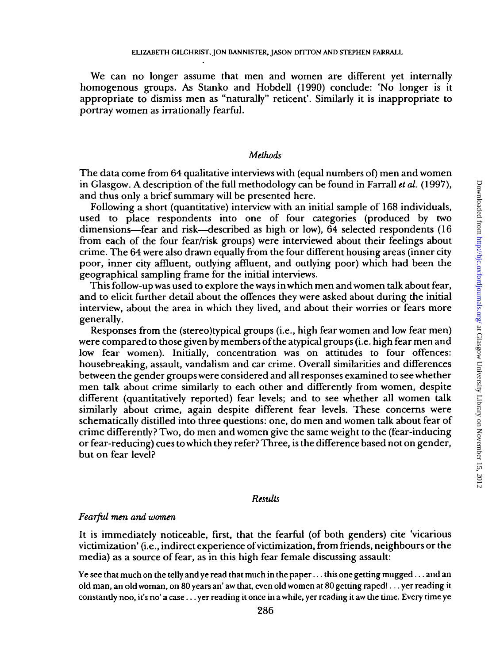We can no longer assume that men and women are different yet internally homogenous groups. As Stanko and Hobdell (1990) conclude: 'No longer is it appropriate to dismiss men as "naturally" reticent'. Similarly it is inappropriate to portray women as irrationally fearful.

## *Methods*

The data come from 64 qualitative interviews with (equal numbers of) men and women in Glasgow. A description of the full methodology can be found in Farrall *et al.* (1997), and thus only a brief summary will be presented here.

Following a short (quantitative) interview with an initial sample of 168 individuals, used to place respondents into one of four categories (produced by two dimensions—fear and risk—described as high or low), 64 selected respondents (16 from each of the four fear/risk groups) were interviewed about their feelings about crime. The 64 were also drawn equally from the four different housing areas (inner city poor, inner city affluent, outlying affluent, and outlying poor) which had been the geographical sampling frame for the initial interviews.

This follow-up was used to explore the ways in which men and women talk about fear, and to elicit further detail about the offences they were asked about during the initial interview, about the area in which they lived, and about their worries or fears more generally.

Responses from the (stereo)typical groups (i.e., high fear women and low fear men) were compared to those given by members of the atypical groups (i.e. high fear men and low fear women). Initially, concentration was on attitudes to four offences: housebreaking, assault, vandalism and car crime. Overall similarities and differences between the gender groups were considered and all responses examined to see whether men talk about crime similarly to each other and differently from women, despite different (quantitatively reported) fear levels; and to see whether all women talk similarly about crime, again despite different fear levels. These concerns were schematically distilled into three questions: one, do men and women talk about fear of crime differently? Two, do men and women give the same weight to the (fear-inducing or fear-reducing) cues to which they refer? Three, is the difference based not on gender, but on fear level?

## *Results*

### *Fearful men and women*

It is immediately noticeable, first, that the fearful (of both genders) cite 'vicarious victimization' (i.e., indirect experience of victimization, from friends, neighbours or the media) as a source of fear, as in this high fear female discussing assault:

Ye see that much on the telly and ye read that much in the paper... this one getting mugged ... and an old man, an old woman, on 80 years an' aw that, even old women at 80 getting raped!... yer reading it constantly noo, it's no' a case... yer reading it once in a while, yer reading it aw the time. Every time ye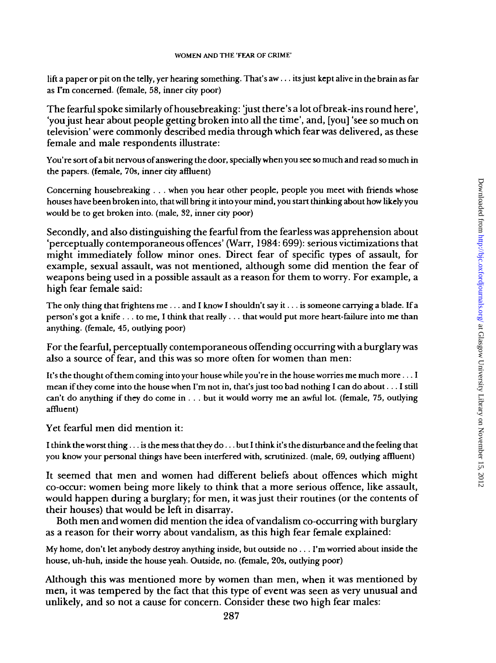#### **WOMEN AND THE 'FEAR OF CRIME'**

lift a paper or pit on the telly, yer hearing something. That's aw... its just kept alive in the brain as far as Fm concerned, (female, 58, inner city poor)

The fearful spoke similarly of housebreaking: 'just there's a lot of break-ins round here', 'you just hear about people getting broken into all the time', and, [you] 'see so much on television' were commonly described media through which fear was delivered, as these female and male respondents illustrate:

You're sort of a bit nervous of answering the door, specially when you see so much and read so much in the papers, (female, 70s, inner city affluent)

Concerning housebreaking . . . when you hear other people, people you meet with friends whose houses have been broken into, that will bring it into your mind, you start thinking about how likely you would be to get broken into, (male, 32, inner city poor)

Secondly, and also distinguishing the fearful from the fearless was apprehension about 'perceptually contemporaneous offences' (Warr, 1984: 699): serious victimizations that might immediately follow minor ones. Direct fear of specific types of assault, for example, sexual assault, was not mentioned, although some did mention the fear of weapons being used in a possible assault as a reason for them to worry. For example, a high fear female said:

The only thing that frightens me .. . and I know I shouldn't say it.. . is someone carrying a blade. If a person's got a knife .. . to me, I diink that really . . . that would put more heart-failure into me than anything, (female, 45, outlying poor)

For the fearful, perceptually contemporaneous offending occurring with a burglary was also a source of fear, and this was so more often for women than men:

It's the thought of them coming into your house while you're in the house worries me much more.. . I mean if they come into the house when I'm not in, that's just too bad nothing I can do about... I still can't do anything if they do come in . . . but it would worry me an awful lot. (female, 75, outlying affluent)

Yet fearful men did mention it:

I think the worst thing... is the mess that they do... but I think it's the disturbance and the feeling that you know your personal things have been interfered with, scrutinized, (male, 69, outlying affluent)

It seemed that men and women had different beliefs about offences which might co-occur: women being more likely to think that a more serious offence, like assault, would happen during a burglary; for men, it was just their routines (or the contents of their houses) that would be left in disarray.

Both men and women did mention the idea of vandalism co-occurring with burglary as a reason for dieir worry about vandalism, as this high fear female explained:

My home, don't let anybody destroy anything inside, but outside no ... I'm worried about inside the house, uh-huh, inside the house yeah. Outside, no. (female, 20s, outlying poor)

Although this was mentioned more by women than men, when it was mentioned by men, it was tempered by the fact that this type of event was seen as very unusual and unlikely, and so not a cause for concern. Consider these two high fear males: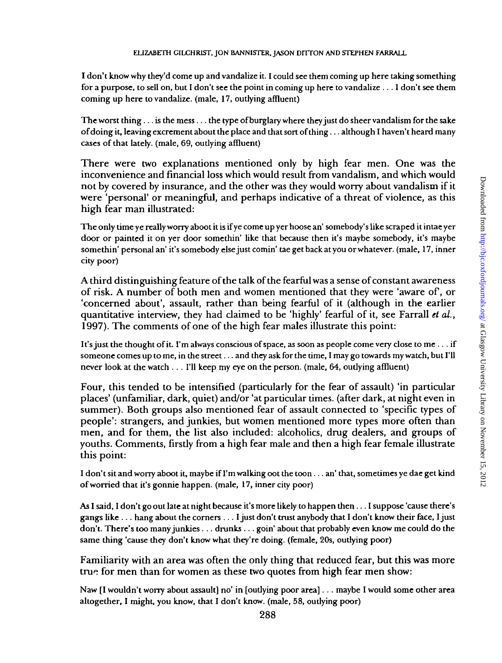I don't know why they'd come up and vandalize it. I could see them coming up here taking something for a purpose, to sell on, but I don't see the point in coming up here to vandalize ... I don't see them coming up here to vandalize, (male, 17, outlying affluent)

The worst thing... is the mess... the type of burglary where they just do sheer vandalism for the sake of doing it, leaving excrement about the place and that sort of thing... although I haven't heard many cases of that lately, (male, 69, outlying affluent)

There were two explanations mentioned only by high fear men. One was the inconvenience and financial loss which would result from vandalism, and which would not by covered by insurance, and the other was they would worry about vandalism if it were 'personal' or meaningful, and perhaps indicative of a threat of violence, as this high fear man illustrated:

The only time ye really worry aboot it is if ye come up yer hoose an' somebody's like scraped it intae yer door or painted it on yer door somethin' like that because then it's maybe somebody, it's maybe somethin' personal an' it's somebody else just comin' tae get back at you or whatever, (male, 17, inner city poor)

A third distinguishing feature of the talk of the fearful was a sense of constant awareness of risk. A number of both men and women mentioned that they were 'aware of, or 'concerned about', assault, rather than being fearful of it (although in the earlier quantitative interview, they had claimed to be 'highly' fearful of it, see Farrall *et al.,* 1997). The comments of one of the high fear males illustrate this point:

It's just the thought of it I'm always conscious of space, as soon as people come very close to me .. . if someone comes up to me, in the street... and they ask for the time, I may go towards my watch, but I'll never look at the watch . . . I'll keep my eye on the person, (male, 64, outlying affluent)

Four, this tended to be intensified (particularly for the fear of assault) 'in particular places' (unfamiliar, dark, quiet) and/or 'at particular times, (after dark, at night even in summer). Both groups also mentioned fear of assault connected to 'specific types of people': strangers, and junkies, but women mentioned more types more often than men, and for them, the list also included: alcoholics, drug dealers, and groups of youths. Comments, firstly from a high fear male and then a high fear female illustrate this point:

I don't sit and worry aboot it, maybe if I'm walking oot the toon  $\dots$  an' that, sometimes ye dae get kind of worried that it's gonnie happen, (male, 17, inner city poor)

As I said, I don't go out late at night because it's more likely to happen then... I suppose 'cause diere's gangs like  $\ldots$  hang about the corners  $\ldots$  I just don't trust anybody that I don't know their face, I just don't. There's too many junkies ... drunks ... goin' about that probably even know me could do the same thing 'cause they don't know what diey're doing, (female, 20s, outlying poor)

Familiarity with an area was often the only thing that reduced fear, but this was more true for men than for women as these two quotes from high fear men show:

Naw [I wouldn't worry about assault] no' in [oudying poor area]. . . maybe I would some other area altogether, I might, you know, that I don't know, (male, 58, outlying poor)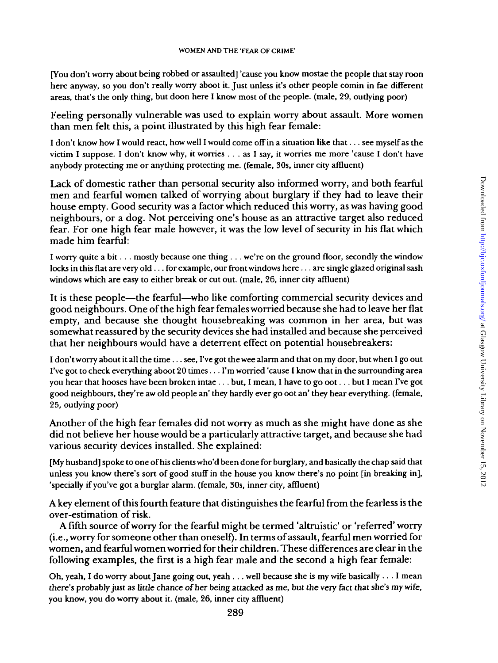[You don't worry about being robbed or assaulted] 'cause you know mostae the people that stay roon here anyway, so you don't really worry aboot it. Just unless it's other people comin in fae different areas, that's the only thing, but doon here I know most of the people, (male, 29, outlying poor)

Feeling personally vulnerable was used to explain worry about assault. More women than men felt this, a point illustrated by this high fear female:

I don't know how I would react, how well I would come off in a situation like diat... see myself as the victim I suppose. I don't know why, it worries .. . as I say, it worries me more 'cause I don't have anybody protecting me or anything protecting me. (female, 30s, inner city affluent)

Lack of domestic rather than personal security also informed worry, and both fearful men and fearful women talked of worrying about burglary if they had to leave their house empty. Good security was a factor which reduced this worry, as was having good neighbours, or a dog. Not perceiving one's house as an attractive target also reduced fear. For one high fear male however, it was the low level of security in his flat which made him fearful:

I worry quite a bit. . . mostly because one thing . . . we're on die ground floor, secondly die window locks in this flat are very old ... for example, our front windows here ... are single glazed original sash windows which are easy to either break or cut out. (male, 26, inner city affluent)

It is these people—the fearful—who like comforting commercial security devices and good neighbours. One of the high fear females worried because she had to leave her flat empty, and because she thought housebreaking was common in her area, but was somewhat reassured by the security devices she had installed and because she perceived that her neighbours would have a deterrent effect on potential housebreakers:

I don't worry about it all the time... see, I've got die wee alarm and diat on my door, but when I go out I've got to check everydiing aboot 20 times... I'm worried 'cause I know diat in die surrounding area you hear diat hooses have been broken intae ... but, I mean, I have to go oot... but I mean I've got good neighbours, diey're aw old people an' diey hardly ever go oot an' diey hear everydiing. (female, 25, oudying poor)

Another of the high fear females did not worry as much as she might have done as she did not believe her house would be a particularly attractive target, and because she had various security devices installed. She explained:

[My husband] spoke to one of his clients who'd been done for burglary, and basically the chap said that unless you know diere's sort of good stuff in the house you know diere's no point [in breaking in], 'specially if you've got a burglar alarm, (female, 30s, inner city, affluent)

A key element of this fourth feature that distinguishes the fearful from the fearless is the over-estimation of risk.

A fifth source of worry for the fearful might be termed 'altruistic' or 'referred' worry (i.e., worry for someone other than oneself). In terms of assault, fearful men worried for women, and fearful women worried for their children. These differences are clear in the following examples, the first is a high fear male and the second a high fear female:

Oh, yeah, I do worry about Jane going out, yeah . . . well because she is my wife basically .. . I mean there's probably just as little chance of her being attacked as me, but the very fact that she's my wife, you know, you do worry about it. (male, 26, inner city affluent)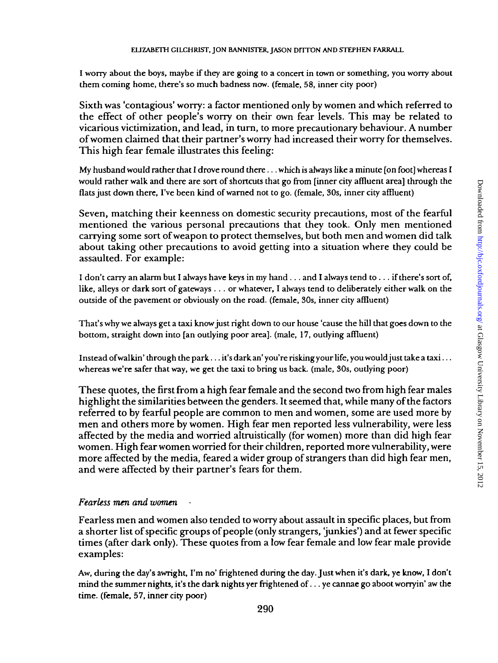I worry about the boys, maybe if they are going to a concert in town or something, you worry about them coming home, there's so much badness now. (female, 58, inner city poor)

Sixth was 'contagious' worry: a factor mentioned only by women and which referred to the effect of other people's worry on their own fear levels. This may be related to vicarious victimization, and lead, in turn, to more precautionary behaviour. A number of women claimed that their partner's worry had increased their worry for themselves. This high fear female illustrates this feeling:

My husband would rather that I drove round there... which is always like a minute [on foot] whereas I would rather walk and there are sort of shortcuts that go from [inner city affluent area] through the flats just down there, I've been kind of warned not to go. (female, 30s, inner city affluent)

Seven, matching their keenness on domestic security precautions, most of the fearful mentioned the various personal precautions that they took. Only men mentioned carrying some sort of weapon to protect themselves, but both men and women did talk about taking other precautions to avoid getting into a situation where they could be assaulted. For example:

I don't carry an alarm but I always have keys in my hand ... and I always tend to ... if there's sort of, like, alleys or dark sort of gateways ... or whatever, I always tend to deliberately either walk on the outside of the pavement or obviously on the road, (female, 30s, inner city affluent)

That's why we always get a taxi know just right down to our house 'cause the hill that goes down to the bottom, straight down into [an outlying poor area], (male, 17, outlying affluent)

Instead ofwalkin' through the park... it's dark an' you're risking your life, you would just take a taxi... whereas we're safer that way, we get the taxi to bring us back. (male, 30s, outlying poor)

These quotes, the first from a high fear female and the second two from high fear males highlight the similarities between the genders. It seemed that, while many of the factors referred to by fearful people are common to men and women, some are used more by men and others more by women. High fear men reported less vulnerability, were less affected by the media and worried altruistically (for women) more than did high fear women. High fear women worried for their children, reported more vulnerability, were more affected by the media, feared a wider group of strangers than did high fear men, and were affected by their partner's fears for them.

## *Fearless men and women*

Fearless men and women also tended to worry about assault in specific places, but from a shorter list of specific groups of people (only strangers, junkies') and at fewer specific times (after dark only). These quotes from a low fear female and low fear male provide examples:

Aw, during the day's awright, I'm no' frightened during the day. Just when it's dark, ye know, I don't mind the summer nights, it's the dark nights yer frightened of . . . ye cannae go aboot worryin' aw the time, (female, 57, inner city poor)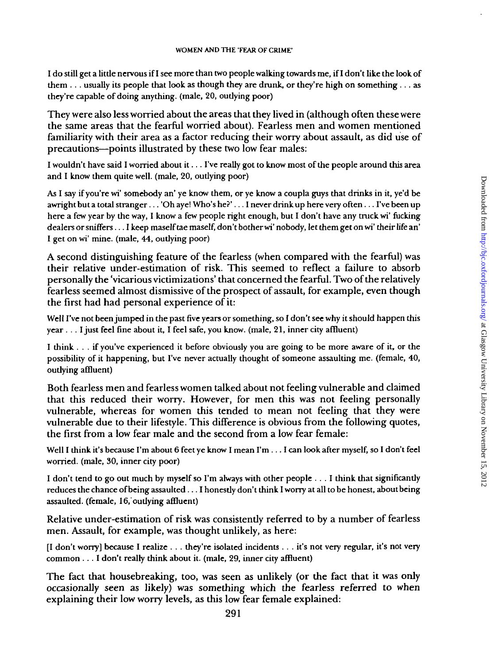I do still get a little nervous if I see more than two people walking towards me, if I don't like the look of them  $\ldots$  usually its people that look as though they are drunk, or they're high on something  $\ldots$  as they're capable of doing anything, (male, 20, outlying poor)

They were also less worried about the areas that they lived in (although often these were the same areas that the fearful worried about). Fearless men and women mentioned familiarity with their area as a factor reducing their worry about assault, as did use of precautions—points illustrated by these two low fear males:

I wouldn't have said I worried about it.. . I've really got to know most of the people around this area and I know them quite well, (male, 20, outlying poor)

As I say if you're wi' somebody an' ye know them, or ye know a coupla guys that drinks in it, ye'd be awright but a total stranger... 'Oh aye! Who's he?'... I never drink up here very often... I've been up here a few year by the way, I know a few people right enough, but I don't have any truck wi' fucking dealers or sniffers... I keep maself tae maself, don't bother wi' nobody, let them get on wi' their life an' I get on wi' mine, (male, 44, outlying poor)

A second distinguishing feature of the fearless (when compared with the fearful) was their relative under-estimation of risk. This seemed to reflect a failure to absorb personally the 'vicarious victimizations' that concerned the fearful. Two of the relatively fearless seemed almost dismissive of the prospect of assault, for example, even though the first had had personal experience of it:

Well I've not been jumped in the past five years or something, so I don't see why it should happen this year . . . I just feel fine about it, I feel safe, you know. (male, 21, inner city affluent)

I think .. . if you've experienced it before obviously you are going to be more aware of it, or the possibility of it happening, but I've never actually thought of someone assaulting me. (female, 40, outlying affluent)

Both fearless men and fearless women talked about not feeling vulnerable and claimed that this reduced their worry. However, for men this was not feeling personally vulnerable, whereas for women this tended to mean not feeling that they were vulnerable due to their lifestyle. This difference is obvious from the following quotes, the first from a low fear male and the second from a low fear female:

Well I think it's because I'm about 6 feet ye know I mean I'm .. . I can look after myself, so I don't feel worried, (male, 30, inner city poor)

I don't tend to go out much by myself so I'm always with other people .. . I think that significantly reduces the chance of being assaulted... I honestly don't think I worry at all to be honest, about being assaulted. (female, 16, outlying affluent)

Relative under-estimation of risk was consistently referred to by a number of fearless men. Assault, for example, was thought unlikely, as here:

[I don't worry] because I realize . . . they're isolated incidents . . . it's not very regular, it's not very common .. . I don't really think about it. (male, 29, inner city affluent)

The fact that housebreaking, too, was seen as unlikely (or the fact that it was only occasionally seen as likely) was something which the fearless referred to when explaining their low worry levels, as this low fear female explained: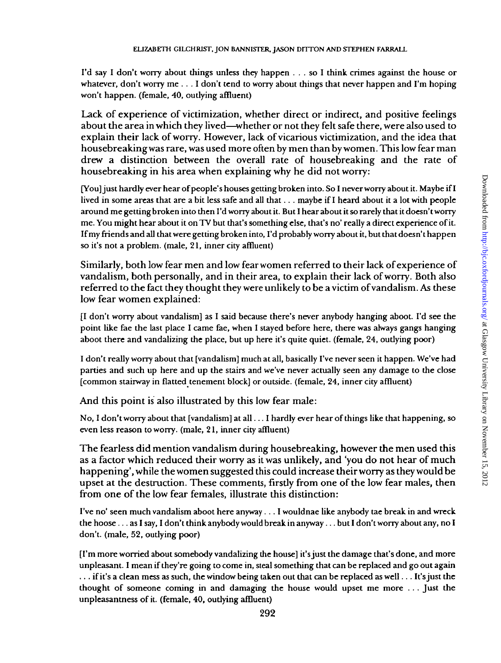I'd say I don't worry about things unless they happen .. . so I think crimes against die house or whatever, don't worry  $me \ldots I$  don't tend to worry about things that never happen and I'm hoping won't happen, (female, 40, outlying affluent)

Lack of experience of victimization, whether direct or indirect, and positive feelings about the area in which they lived—whether or not they felt safe there, were also used to explain their lack of worry. However, lack of vicarious victimization, and the idea that housebreaking was rare, was used more often by men than by women. This low fear man drew a distinction between the overall rate of housebreaking and the rate of housebreaking in his area when explaining why he did not worry:

[You] just hardly ever hear of people's houses getting broken into. So I neverworry about it. Maybe if I lived in some areas that are a bit less safe and all that.. . maybe if I heard about it a lot widi people around me getting broken into dien I'd worry about it. But I hear about it so rarely that it doesn't worry me. You might hear about it on TV but diat's something else, that's no' really a direct experience of it. If my friends and all that were getting broken into, I'd probably worry about it, but that doesn't happen so it's not a problem, (male, 21, inner city affluent)

Similarly, both low fear men and low fear women referred to their lack of experience of vandalism, both personally, and in their area, to explain their lack of worry. Both also referred to the fact they thought they were unlikely to be a victim of vandalism. As these low fear women explained:

[I don't worry about vandalism] as I said because there's never anybody hanging aboot. I'd see the point like fae the last place I came fae, when I stayed before here, there was always gangs hanging aboot there and vandalizing the place, but up here it's quite quiet, (female, 24, oudying poor)

I don't really worry about that [vandalism] much at all, basically I've never seen it happen. We've had parties and such up here and up the stairs and we've never actually seen any damage to the close [common stairway in flatted tenement block] or outside, (female, 24, inner city affluent)

And this point is also illustrated by this low fear male:

No, I don't worry about that [vandalism] at all... I hardly ever hear of things like that happening, so even less reason to worry, (male, 21, inner city affluent)

The fearless did mention vandalism during housebreaking, however the men used this as a factor which reduced their worry as it was unlikely, and 'you do not hear of much happening', while the women suggested this could increase their worry as they would be upset at the destruction. These comments, firstly from one of the low fear males, then from one of the low fear females, illustrate this distinction:

I've no' seen much vandalism aboot here anyway .. . I wouldnae like anybody tae break in and wreck the hoose... as I say, I don't think anybody would break in anyway... but I don't worry about any, no I don't, (male, 52, oudying poor)

[I'm more worried about somebody vandalizing the house] it's just die damage diat's done, and more unpleasant. I mean if they're going to come in, steal somediing that can be replaced and go out again .. . if it's a clean mess as such, die window being taken out that can be replaced as well... It's just the thought of someone coming in and damaging die house would upset me more . .. Just the unpleasantness of it. (female, 40, outlying affluent)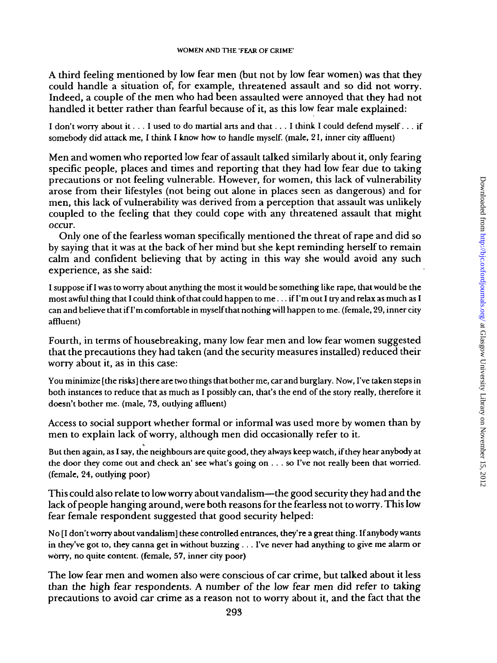A third feeling mentioned by low fear men (but not by low fear women) was that they could handle a situation of, for example, threatened assault and so did not worry. Indeed, a couple of the men who had been assaulted were annoyed that they had not handled it better rather than fearful because of it, as this low fear male explained:

I don't worry about it... I used to do martial arts and that... I think I could defend myself... if somebody did attack me, I think I know how to handle myself, (male, 21, inner city affluent)

Men and women who reported low fear of assault talked similarly about it, only fearing specific people, places and times and reporting that they had low fear due to taking precautions or not feeling vulnerable. However, for women, this lack of vulnerability arose from their lifestyles (not being out alone in places seen as dangerous) and for men, this lack of vulnerability was derived from a perception that assault was unlikely coupled to the feeling that they could cope with any threatened assault that might occur.

Only one of the fearless woman specifically mentioned the threat of rape and did so by saying that it was at the back of her mind but she kept reminding herself to remain calm and confident believing that by acting in this way she would avoid any such experience, as she said:

I suppose if I was to worry about anything the most it would be something like rape, that would be the most awful thing that I could think of that could happen to me... if I'm out I try and relax as much as I can and believe that if I'm comfortable in myself that nothing will happen to me. (female, 29, inner city affluent)

Fourth, in terms of housebreaking, many low fear men and low fear women suggested that the precautions they had taken (and the security measures installed) reduced their worry about it, as in this case:

You minimize [the risks] there are two things diat bother me, car and burglary. Now, I've taken steps in both instances to reduce that as much as I possibly can, that's the end of the story really, therefore it doesn't bother me. (male, 73, oudying affluent)

Access to social support whether formal or informal was used more by women than by men to explain lack of worry, although men did occasionally refer to it.

But then again, as I say, the neighbours are quite good, they always keep watch, if they hear anybody at the door they come out and check an' see what's going on  $\dots$  so I've not really been that worried. (female, 24, oudying poor)

This could also relate to low worry about vandalism—the good security they had and the lack of people hanging around, were both reasons for the fearless not to worry. This low fear female respondent suggested diat good security helped:

No [I don't worry about vandalism] these controlled entrances, diey're a great thing. If anybody wants in diey've got to, they canna get in widiout buzzing . . . I've never had anything to give me alarm or wbrry, no quite content, (female, 57, inner city poor)

The low fear men and women also were conscious of car crime, but talked about it less than the high fear respondents. A number of the low fear men did refer to taking precautions to avoid car crime as a reason not to worry about it, and the fact diat the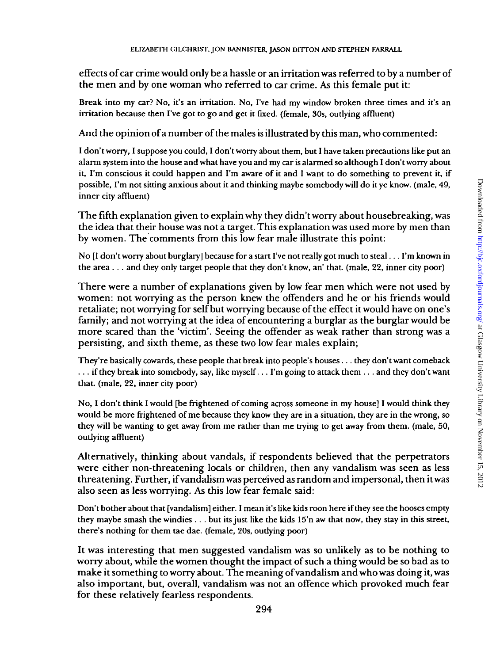efifects of car crime would only be a hassle or an irritation was referred to by a number of the men and by one woman who referred to car crime. As this female put it:

Break into my car? No, it's an irritation. No, I've had my window broken three times and it's an irritation because then I've got to go and get it fixed, (female, 30s, outlying affluent)

And the opinion of a number of the males is illustrated by this man, who commented:

I don't worry, I suppose you could, I don't worry about them, but I have taken precautions like put an alarm system into the house and what have you and my car is alarmed so although I don't worry about it, I'm conscious it could happen and I'm aware of it and I want to do something to prevent it, if possible, I'm not sitting anxious about it and thinking maybe somebody will do it ye know, (male, 49, inner city affluent)

The fifth explanation given to explain why they didn't worry about housebreaking, was the idea that their house was not a target. This explanation was used more by men than by women. The comments from this low fear male illustrate this point:

No [I don't worry about burglary] because for a start I've not really got much to steal... I'm known in the area . . . and they only target people that they don't know, an' that (male, 22, inner city poor)

There were a number of explanations given by low fear men which were not used by women: not worrying as the person knew the offenders and he or his friends would retaliate; not worrying for self but worrying because of the effect it would have on one's family; and not worrying at the idea of encountering a burglar as the burglar would be more scared than the 'victim'. Seeing the offender as weak rather than strong was a persisting, and sixth theme, as these two low fear males explain;

They're basically cowards, these people that break into people's houses... they don't want comeback  $\ldots$  if they break into somebody, say, like myself... I'm going to attack them  $\ldots$  and they don't want that, (male, 22, inner city poor)

No, I don't think I would [be frightened of coming across someone in my house] I would think they would be more frightened of me because they know they are in a situation, they are in the wrong, so they will be wanting to get away from me rather than me trying to get away from them, (male, 50, outlying affluent)

Alternatively, thinking about vandals, if respondents believed that the perpetrators were either non-threatening locals or children, then any vandalism was seen as less threatening. Further, if vandalism was perceived as random and impersonal, then it was also seen as less worrying. As this low fear female said:

Don't bother about that [vandalism] either. I mean it's like kids roon here if they see the hooses empty they maybe smash the windies .. . but its just like the kids 15'n aw that now, they stay in this street, there's nothing for them tae dae. (female, 20s, outlying poor)

It was interesting that men suggested vandalism was so unlikely as to be nothing to worry about, while the women thought die impact of such a thing would be so bad as to make it somediing to worry about. The meaning of vandalism and who was doing it, was also important, but, overall, vandalism was not an offence which provoked much fear for these relatively fearless respondents.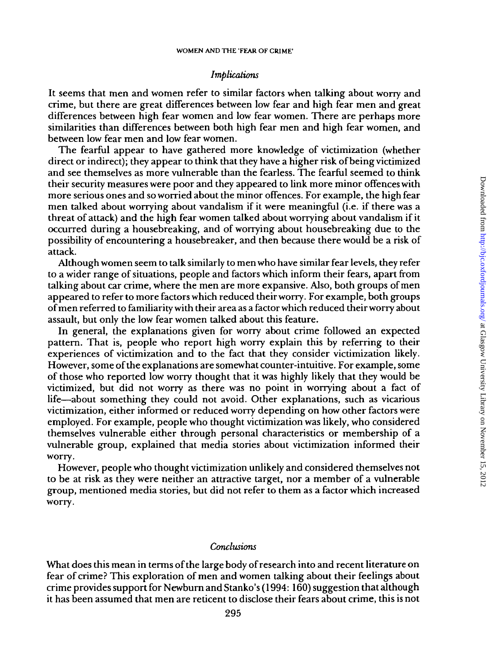#### *Implications*

It seems that men and women refer to similar factors when talking about worry and crime, but there are great differences between low fear and high fear men and great differences between high fear women and low fear women. There are perhaps more similarities than differences between both high fear men and high fear women, and between low fear men and low fear women.

The fearful appear to have gathered more knowledge of victimization (whether direct or indirect); they appear to think that they have a higher risk of being victimized and see themselves as more vulnerable than the fearless. The fearful seemed to think their security measures were poor and they appeared to link more minor offences with more serious ones and so worried about the minor offences. For example, the high fear men talked about worrying about vandalism if it were meaningful (i.e. if there was a threat of attack) and the high fear women talked about worrying about vandalism if it occurred during a housebreaking, and of worrying about housebreaking due to the possibility of encountering a housebreaker, and then because there would be a risk of attack.

Although women seem to talk similarly to men who have similar fear levels, they refer to a wider range of situations, people and factors which inform their fears, apart from talking about car crime, where the men are more expansive. Also, both groups of men appeared to refer to more factors which reduced their worry. For example, both groups of men referred to famili arity with their area as a factor which reduced their worry about assault, but only the low fear women talked about this feature.

In general, the explanations given for worry about crime followed an expected pattern. That is, people who report high worry explain this by referring to their experiences of victimization and to the fact diat they consider victimization likely. However, some of the explanations are somewhat counter-intuitive. For example, some of those who reported low worry thought that it was highly likely that they would be victimized, but did not worry as there was no point in worrying about a fact of life—about something they could not avoid. Other explanations, such as vicarious victimization, either informed or reduced worry depending on how other factors were employed. For example, people who thought victimization was likely, who considered themselves vulnerable eidier through personal characteristics or membership of a vulnerable group, explained that media stories about victimization informed their worry.

However, people who thought victimization unlikely and considered themselves not to be at risk as they were neither an attractive target, nor a member of a vulnerable group, mentioned media stories, but did not refer to them as a factor which increased worry.

### *Conclusions*

What does this mean in terms of the large body of research into and recent literature on fear of crime? This exploration of men and women talking about their feelings about crime provides support for Newburn and Stanko's (1994: 160) suggestion that although it has been assumed that men are reticent to disclose their fears about crime, this is not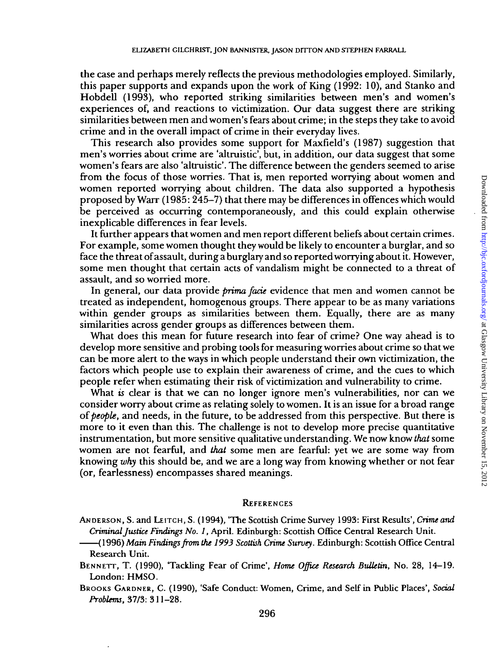the case and perhaps merely reflects the previous methodologies employed. Similarly, this paper supports and expands upon the work of King (1992: 10), and Stanko and Hobdell (1993), who reported striking similarities between men's and women's experiences of, and reactions to victimization. Our data suggest there are striking similarities between men and women's fears about crime; in the steps they take to avoid crime and in the overall impact of crime in their everyday lives.

This research also provides some support for Maxfield's (1987) suggestion that men's worries about crime are 'altruistic', but, in addition, our data suggest that some women's fears are also 'altruistic'. The difference between the genders seemed to arise from the focus of those worries. That is, men reported worrying about women and women reported worrying about children. The data also supported a hypothesis proposed by Warr (1985: 245-7) that there may be differences in offences which would be perceived as occurring contemporaneously, and this could explain otherwise inexplicable differences in fear levels.

It further appears that women and men report different beliefs about certain crimes. For example, some women thought they would be likely to encounter a burglar, and so face the threat of assault, during a burglary and so reported worrying about it. However, some men thought that certain acts of vandalism might be connected to a threat of assault, and so worried more.

In general, our data provide *prima facie* evidence that men and women cannot be treated as independent, homogenous groups. There appear to be as many variations within gender groups as similarities between them. Equally, there are as many similarities across gender groups as differences between them.

What does this mean for future research into fear of crime? One way ahead is to develop more sensitive and probing tools for measuring worries about crime so that we can be more alert to the ways in which people understand their own victimization, the factors which people use to explain their awareness of crime, and the cues to which people refer when estimating their risk of victimization and vulnerability to crime.

What *is* clear is that we can no longer ignore men's vulnerabilities, nor can we consider worry about crime as relating solely to women. It is an issue for a broad range of *people,* and needs, in the future, to be addressed from this perspective. But there is more to it even than this. The challenge is not to develop more precise quantitative instrumentation, but more sensitive qualitative understanding. We now know *thai* some women are not fearful, and *that* some men are fearful: yet we are some way from knowing *why* this should be, and we are a long way from knowing whether or not fear (or, fearlessness) encompasses shared meanings.

## **REFERENCES**

ANDERSON, S. and LEITCH, S. (1994), The Scottish Crime Survey 1993: First Results', *Crime and Criminal Justice Findings No. 1,* April. Edinburgh: Scottish Office Central Research Unit.

- (1996) *Main Findings from the 1993 Scottish Crime Survey.* Edinburgh: Scottish Office Central Research Unit.
- BENNETT, T. (1990), Tackling Fear of Crime', *Home Office Research Bulletin,* No. 28, 14-19. London: HMSO.
- BROOKS GARDNER, C. (1990), 'Safe Conduct: Women, Crime, and Self in Public Places', *Social Problems,* 37/3: 311-28.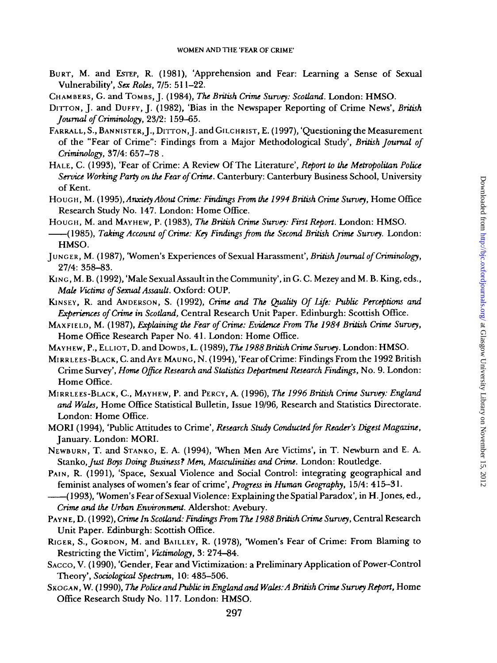#### **WOMEN AND THE 'FEAR OF CRIME'**

BURT, M. and ESTEP, R. (1981), 'Apprehension and Fear: Learning a Sense of Sexual Vulnerability', Sex Roles, 7/5: 511-22.

CHAMBERS, G. and TOMBS, J. (1984), *The British Crime Survey: Scotland.* London: HMSO.

- DITTON, J. and DUFFY, J. (1982), 'Bias in the Newspaper Reporting of Crime News', *British Journal of Criminology,* 23/2: 159-65.
- FARRALL, S., BANNISTER, J., DITTON, J. and GILCHRIST, E. (1997), 'Questioning the Measurement of the "Fear of Crime": Findings from a Major Methodological Study', *British Journal of Criminology,* 37/4: 657-78 .
- HALE, C. (1993), 'Fear of Crime: A Review Of The Literature', *Report to the Metropolitan Police Service Working Party on the Fear of Crime.* Canterbury: Canterbury Business School, University of Kent.
- HOUGH, M. (1995), *Anxiety About Crime: Findings From the 1994 British Crime Survey,* Home Office Research Study No. 147. London: Home Office.
- HOUGH, M. and MAYHEW, P. (1983), *The British Crime Survey: First Report.* London: HMSO.
- (1985), *Taking Account of Crime: Key Findings from the Second British Crime Survey.* London: HMSO.
- JUNGER, M. (1987), 'Women's Experiences of Sexual Harassment', *British Journal of Criminology,* 27/4: 358-83.
- KING, M. B. (1992), 'Male Sexual Assault in the Community', in G. C. Mezey and M. B. King, eds., *Male Victims of Sexual Assault.* Oxford: OUP.
- KINSEY, R. and ANDERSON, S. (1992), *Crime and The Quality Of Life: Public Perceptions and Experiences of Crime in Scotland,* Central Research Unit Paper. Edinburgh: Scottish Office.
- MAXFIELD, M. (1987), *Explaining the Fear of Crime: Evidence From The 1984 British Crime Survey,* Home Office Research Paper No. 41. London: Home Office.
- MAYHEW, P., ELLIOT, D. and DOWDS, L. (1989), *The 1988British Crime Survey.* London: HMSO.
- MIRRLEES-BLACK, C. andAYE MAUNG, N. (1994), 'Fear of Crime: Findings From the 1992 British Crime Survey', *Home Office Research and Statistics Department Research Findings,* No. 9. London: Home Office.
- MIRRLEES-BLACK, C, MAYHEW, P. and PERCY, A. (1996), *The 1996 British Crime Survey: England and Wales,* Home Office Statistical Bulletin, Issue 19/96, Research and Statistics Directorate. London: Home Office.
- **MORI** (1994), 'Public Attitudes to Crime', *Research Study Conducted for Reader's Digest Magazine,* January. London: MORI.
- NEWBURN, T. and STANKO, E. A. (1994), 'When Men Are Victims', in T. Newburn and E. A. Stanko, *Just Boys Doing Business? Men, Masculinities and Crime.* London: Routledge.
- PAIN, R. (1991), 'Space, Sexual Violence and Social Control: integrating geographical and feminist analyses of women's fear of crime', *Progress in Human Geography,* 15/4: 415-31.

(1993), "Women's Fear of Sexual Violence: Explaining the Spatial Paradox', in H.Jones, ed., *Crime and the Urban Environment.* Aldershot: Avebury.

- PAYNE, D. (1992), *Crime In Scotland: Findings From The 1988 British Crime Survey,* Central Research Unit Paper. Edinburgh: Scottish Office.
- RIGER, S., GORDON, M. and BAILLEY, R. (1978), "Women's Fear of Crime: From Blaming to Restricting the Victim', *Victimology,* 3: 274-84.
- SACCO, V. (1990), 'Gender, Fear and Victimization: a Preliminary Application of Power-Control Theory', *Sociological Spectrum,* 10: 485-506.
- SKOGAN, W. (1990), The Police and Public in England and Wales: A British Crime Survey Report, Home Office Research Study No. 117. London: HMSO.